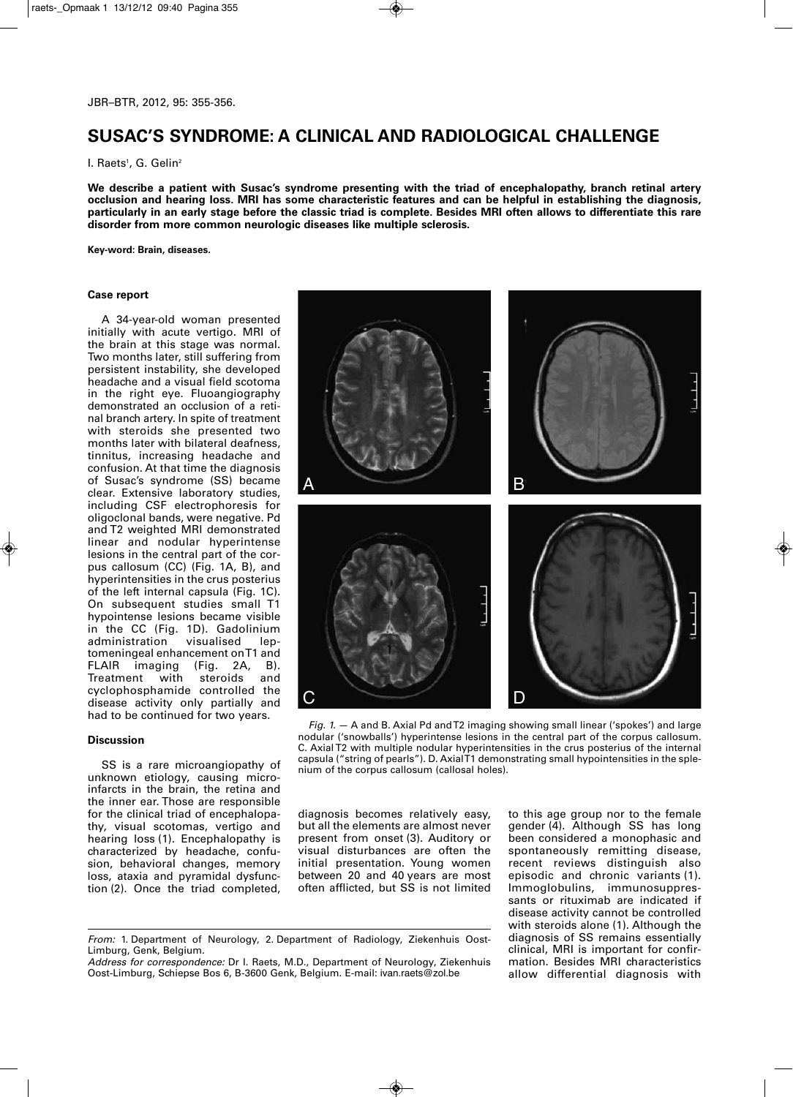# **SUSAC'S SYNDROME: A CLINICAL AND RADIOLOGICAL CHALLENGE**

l. Raets<sup>1</sup>, G. Gelin<sup>2</sup>

**We describe a patient with Susac's syndrome presenting with the triad of encephalopathy, branch retinal artery occlusion and hearing loss. MRI has some characteristic features and can be helpful in establishing the diagnosis, particularly in an early stage before the classic triad is complete. Besides MRI often allows to differentiate this rare disorder from more common neurologic diseases like multiple sclerosis.**

**Key-word: Brain, diseases.**

### **Case report**

A 34-year-old woman presented initially with acute vertigo. MRI of the brain at this stage was normal. Two months later, still suffering from persistent instability, she developed headache and a visual field scotoma in the right eye. Fluoangiography demonstrated an occlusion of a retinal branch artery. In spite of treatment with steroids she presented two months later with bilateral deafness, tinnitus, increasing headache and confusion. At that time the diagnosis of Susac's syndrome (SS) became clear. Extensive laboratory studies, including CSF electrophoresis for oligoclonal bands, were negative. Pd and T2 weighted MRI demonstrated linear and nodular hyperintense lesions in the central part of the corpus callosum (CC) (Fig. 1A, B), and hyperintensities in the crus posterius of the left internal capsula (Fig. 1C). On subsequent studies small T1 hypointense lesions became visible in the CC (Fig. 1D). Gadolinium administration visualised leptomeningeal enhancement on T1 and FLAIR imaging (Fig. 2A, B). Treatment with steroids and cyclophosphamide controlled the disease activity only partially and had to be continued for two years.

#### **Discussion**

SS is a rare microangiopathy of unknown etiology, causing microinfarcts in the brain, the retina and the inner ear. Those are responsible for the clinical triad of encephalopathy, visual scotomas, vertigo and hearing loss (1). Encephalopathy is characterized by headache, confusion, behavioral changes, memory loss, ataxia and pyramidal dysfunction (2). Once the triad completed,



*Fig. 1.* — A and B. Axial Pd and T2 imaging showing small linear ('spokes') and large nodular ('snowballs') hyperintense lesions in the central part of the corpus callosum. C. Axial T2 with multiple nodular hyperintensities in the crus posterius of the internal capsula ("string of pearls"). D. Axial T1 demonstrating small hypointensities in the splenium of the corpus callosum (callosal holes).

diagnosis becomes relatively easy, but all the elements are almost never present from onset (3). Auditory or visual disturbances are often the initial presentation. Young women between 20 and 40 years are most often afflicted, but SS is not limited

to this age group nor to the female gender (4). Although SS has long been considered a monophasic and spontaneously remitting disease, recent reviews distinguish also episodic and chronic variants (1). Immoglobulins, immunosuppressants or rituximab are indicated if disease activity cannot be controlled with steroids alone (1). Although the diagnosis of SS remains essentially clinical, MRI is important for confirmation. Besides MRI characteristics allow differential diagnosis with

*From:* 1. Department of Neurology, 2. Department of Radiology, Ziekenhuis Oost-Limburg, Genk, Belgium.

*Address for correspondence:* Dr I. Raets, M.D., Department of Neurology, Ziekenhuis Oost-Limburg, Schiepse Bos 6, B-3600 Genk, Belgium. E-mail: ivan.raets@zol.be